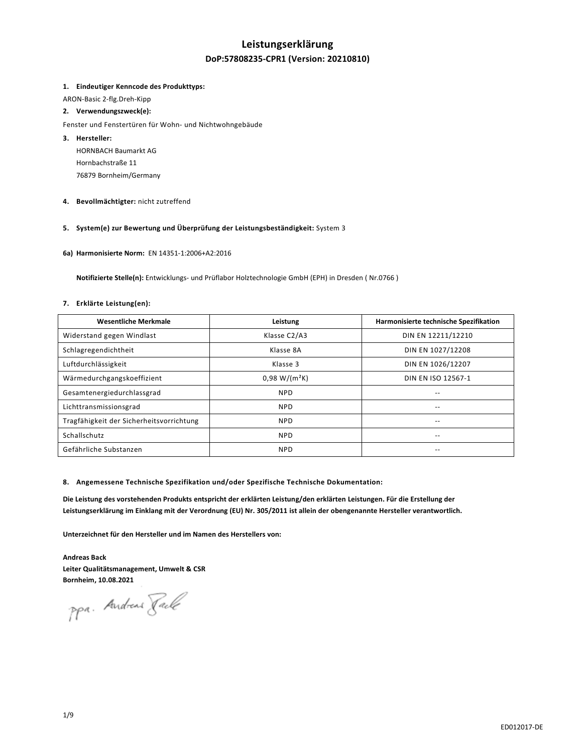# **Leistungserklärung**

# **DoP:57808235-CPR1 (Version: 20210810)**

#### **1. Eindeutiger Kenncode des Produkttyps:**

ARON-Basic 2-flg.Dreh-Kipp

### **2. Verwendungszweck(e):**

Fenster und Fenstertüren für Wohn- und Nichtwohngebäude

- **3. Hersteller:**  HORNBACH Baumarkt AG Hornbachstraße 11 76879 Bornheim/Germany
- **4. Bevollmächtigter:** nicht zutreffend

### **5. System(e) zur Bewertung und Überprüfung der Leistungsbeständigkeit:** System 3

**6a) Harmonisierte Norm:** EN 14351-1:2006+A2:2016

 **Notifizierte Stelle(n):** Entwicklungs- und Prüflabor Holztechnologie GmbH (EPH) in Dresden ( Nr.0766 )

# **7. Erklärte Leistung(en):**

| <b>Wesentliche Merkmale</b>              | Leistung        | Harmonisierte technische Spezifikation |
|------------------------------------------|-----------------|----------------------------------------|
| Widerstand gegen Windlast                | Klasse C2/A3    | DIN EN 12211/12210                     |
| Schlagregendichtheit                     | Klasse 8A       | DIN EN 1027/12208                      |
| Luftdurchlässigkeit                      | Klasse 3        | DIN EN 1026/12207                      |
| Wärmedurchgangskoeffizient               | $0.98 W/(m^2K)$ | DIN EN ISO 12567-1                     |
| Gesamtenergiedurchlassgrad               | <b>NPD</b>      | --                                     |
| Lichttransmissionsgrad                   | <b>NPD</b>      |                                        |
| Tragfähigkeit der Sicherheitsvorrichtung | <b>NPD</b>      | --                                     |
| Schallschutz                             | <b>NPD</b>      | --                                     |
| Gefährliche Substanzen                   | <b>NPD</b>      | --                                     |

#### **8. Angemessene Technische Spezifikation und/oder Spezifische Technische Dokumentation:**

**Die Leistung des vorstehenden Produkts entspricht der erklärten Leistung/den erklärten Leistungen. Für die Erstellung der Leistungserklärung im Einklang mit der Verordnung (EU) Nr. 305/2011 ist allein der obengenannte Hersteller verantwortlich.** 

**Unterzeichnet für den Hersteller und im Namen des Herstellers von:** 

**Andreas Back Leiter Qualitätsmanagement, Umwelt & CSR Bornheim, 10.08.2021** 

ppa. Andreas Jack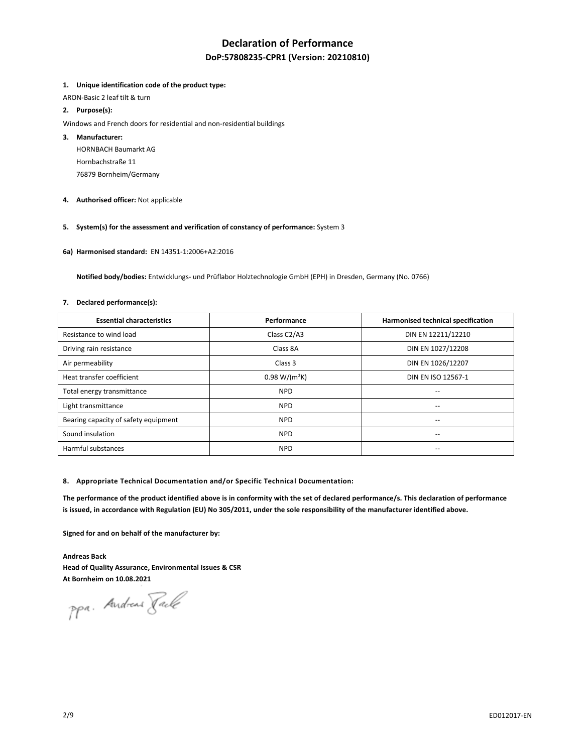# **Declaration of Performance**

# **DoP:57808235-CPR1 (Version: 20210810)**

#### **1. Unique identification code of the product type:**

ARON-Basic 2 leaf tilt & turn

### **2. Purpose(s):**

Windows and French doors for residential and non-residential buildings

#### **3. Manufacturer:**

HORNBACH Baumarkt AG Hornbachstraße 11 76879 Bornheim/Germany

**4. Authorised officer:** Not applicable

# **5. System(s) for the assessment and verification of constancy of performance:** System 3

**6a) Harmonised standard:** EN 14351-1:2006+A2:2016

 **Notified body/bodies:** Entwicklungs- und Prüflabor Holztechnologie GmbH (EPH) in Dresden, Germany (No. 0766)

#### **7. Declared performance(s):**

| <b>Essential characteristics</b>     | Performance     | Harmonised technical specification |
|--------------------------------------|-----------------|------------------------------------|
| Resistance to wind load              | Class C2/A3     | DIN EN 12211/12210                 |
| Driving rain resistance              | Class 8A        | DIN EN 1027/12208                  |
| Air permeability                     | Class 3         | DIN EN 1026/12207                  |
| Heat transfer coefficient            | $0.98 W/(m^2K)$ | DIN EN ISO 12567-1                 |
| Total energy transmittance           | <b>NPD</b>      | $-$                                |
| Light transmittance                  | <b>NPD</b>      |                                    |
| Bearing capacity of safety equipment | <b>NPD</b>      | $- -$                              |
| Sound insulation                     | <b>NPD</b>      | $-$                                |
| Harmful substances                   | <b>NPD</b>      | $-$                                |

#### **8. Appropriate Technical Documentation and/or Specific Technical Documentation:**

**The performance of the product identified above is in conformity with the set of declared performance/s. This declaration of performance is issued, in accordance with Regulation (EU) No 305/2011, under the sole responsibility of the manufacturer identified above.** 

**Signed for and on behalf of the manufacturer by:** 

**Andreas Back Head of Quality Assurance, Environmental Issues & CSR At Bornheim on 10.08.2021** 

ppa. Andreas Fack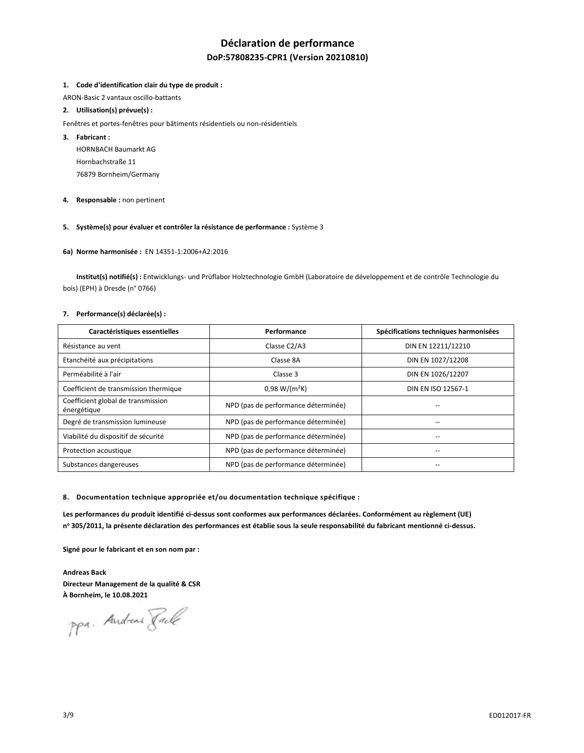# **Déclaration de performance**

# **DoP:57808235-CPR1 (Version 20210810)**

#### **1. Code d'identification clair du type de produit :**

ARON-Basic 2 vantaux oscillo-battants

### **2. Utilisation(s) prévue(s) :**

- Fenêtres et portes-fenêtres pour bâtiments résidentiels ou non-résidentiels
- **3. Fabricant :**

HORNBACH Baumarkt AG Hornbachstraße 11 76879 Bornheim/Germany

**4. Responsable :** non pertinent

# **5. Système(s) pour évaluer et contrôler la résistance de performance :** Système 3

#### **6a) Norme harmonisée :** EN 14351-1:2006+A2:2016

 **Institut(s) notifié(s) :** Entwicklungs- und Prüflabor Holztechnologie GmbH (Laboratoire de développement et de contrôle Technologie du bois) (EPH) à Dresde (n° 0766)

#### **7. Performance(s) déclarée(s) :**

| Caractéristiques essentielles                     | Performance                         | Spécifications techniques harmonisées |
|---------------------------------------------------|-------------------------------------|---------------------------------------|
| Résistance au vent                                | Classe C2/A3                        | DIN EN 12211/12210                    |
| Etanchéité aux précipitations                     | Classe 8A                           | DIN EN 1027/12208                     |
| Perméabilité à l'air                              | Classe 3                            | DIN EN 1026/12207                     |
| Coefficient de transmission thermique             | $0,98 W/(m^2K)$                     | DIN EN ISO 12567-1                    |
| Coefficient global de transmission<br>énergétique | NPD (pas de performance déterminée) |                                       |
| Degré de transmission lumineuse                   | NPD (pas de performance déterminée) | --                                    |
| Viabilité du dispositif de sécurité               | NPD (pas de performance déterminée) |                                       |
| Protection acoustique                             | NPD (pas de performance déterminée) |                                       |
| Substances dangereuses                            | NPD (pas de performance déterminée) |                                       |

**8. Documentation technique appropriée et/ou documentation technique spécifique :** 

**Les performances du produit identifié ci-dessus sont conformes aux performances déclarées. Conformément au règlement (UE) n o 305/2011, la présente déclaration des performances est établie sous la seule responsabilité du fabricant mentionné ci-dessus.** 

**Signé pour le fabricant et en son nom par :** 

**Andreas Back Directeur Management de la qualité & CSR À Bornheim, le 10.08.2021** 

ppa. Andreas Tack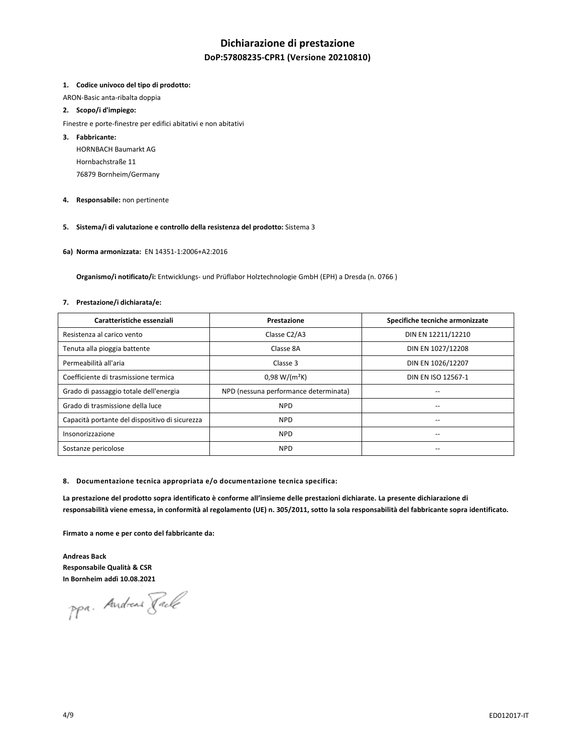# **Dichiarazione di prestazione**

# **DoP:57808235-CPR1 (Versione 20210810)**

#### **1. Codice univoco del tipo di prodotto:**

ARON-Basic anta-ribalta doppia

### **2. Scopo/i d'impiego:**

- Finestre e porte-finestre per edifici abitativi e non abitativi
- **3. Fabbricante:**

HORNBACH Baumarkt AG Hornbachstraße 11 76879 Bornheim/Germany

**4. Responsabile:** non pertinente

# **5. Sistema/i di valutazione e controllo della resistenza del prodotto:** Sistema 3

**6a) Norma armonizzata:** EN 14351-1:2006+A2:2016

 **Organismo/i notificato/i:** Entwicklungs- und Prüflabor Holztechnologie GmbH (EPH) a Dresda (n. 0766 )

#### **7. Prestazione/i dichiarata/e:**

| Caratteristiche essenziali                     | Prestazione                           | Specifiche tecniche armonizzate |
|------------------------------------------------|---------------------------------------|---------------------------------|
| Resistenza al carico vento                     | Classe C2/A3                          | DIN EN 12211/12210              |
| Tenuta alla pioggia battente                   | Classe 8A                             | DIN EN 1027/12208               |
| Permeabilità all'aria                          | Classe 3                              | DIN EN 1026/12207               |
| Coefficiente di trasmissione termica           | $0.98 W/(m^2K)$                       | DIN EN ISO 12567-1              |
| Grado di passaggio totale dell'energia         | NPD (nessuna performance determinata) | --                              |
| Grado di trasmissione della luce               | <b>NPD</b>                            | --                              |
| Capacità portante del dispositivo di sicurezza | <b>NPD</b>                            | --                              |
| Insonorizzazione                               | <b>NPD</b>                            | --                              |
| Sostanze pericolose                            | <b>NPD</b>                            | --                              |

#### **8. Documentazione tecnica appropriata e/o documentazione tecnica specifica:**

**La prestazione del prodotto sopra identificato è conforme all'insieme delle prestazioni dichiarate. La presente dichiarazione di responsabilità viene emessa, in conformità al regolamento (UE) n. 305/2011, sotto la sola responsabilità del fabbricante sopra identificato.** 

**Firmato a nome e per conto del fabbricante da:** 

**Andreas Back Responsabile Qualità & CSR In Bornheim addì 10.08.2021** 

ppa. Andreas Fack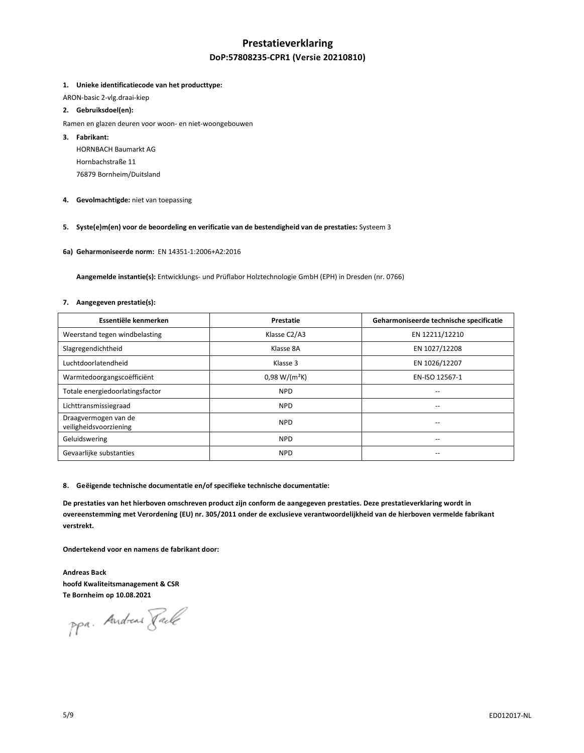# **Prestatieverklaring DoP:57808235-CPR1 (Versie 20210810)**

#### **1. Unieke identificatiecode van het producttype:**

ARON-basic 2-vlg.draai-kiep

### **2. Gebruiksdoel(en):**

- Ramen en glazen deuren voor woon- en niet-woongebouwen
- **3. Fabrikant:**

HORNBACH Baumarkt AG Hornbachstraße 11 76879 Bornheim/Duitsland

**4. Gevolmachtigde:** niet van toepassing

# **5. Syste(e)m(en) voor de beoordeling en verificatie van de bestendigheid van de prestaties:** Systeem 3

**6a) Geharmoniseerde norm:** EN 14351-1:2006+A2:2016

 **Aangemelde instantie(s):** Entwicklungs- und Prüflabor Holztechnologie GmbH (EPH) in Dresden (nr. 0766)

#### **7. Aangegeven prestatie(s):**

| Essentiële kenmerken                           | Prestatie       | Geharmoniseerde technische specificatie |
|------------------------------------------------|-----------------|-----------------------------------------|
| Weerstand tegen windbelasting                  | Klasse C2/A3    | EN 12211/12210                          |
| Slagregendichtheid                             | Klasse 8A       | EN 1027/12208                           |
| Luchtdoorlatendheid                            | Klasse 3        | EN 1026/12207                           |
| Warmtedoorgangscoëfficiënt                     | $0,98 W/(m^2K)$ | EN-ISO 12567-1                          |
| Totale energiedoorlatingsfactor                | <b>NPD</b>      | --                                      |
| Lichttransmissiegraad                          | <b>NPD</b>      | --                                      |
| Draagvermogen van de<br>veiligheidsvoorziening | <b>NPD</b>      |                                         |
| Geluidswering                                  | <b>NPD</b>      | --                                      |
| Gevaarlijke substanties                        | <b>NPD</b>      |                                         |

#### **8. Geëigende technische documentatie en/of specifieke technische documentatie:**

**De prestaties van het hierboven omschreven product zijn conform de aangegeven prestaties. Deze prestatieverklaring wordt in overeenstemming met Verordening (EU) nr. 305/2011 onder de exclusieve verantwoordelijkheid van de hierboven vermelde fabrikant verstrekt.** 

**Ondertekend voor en namens de fabrikant door:** 

**Andreas Back hoofd Kwaliteitsmanagement & CSR Te Bornheim op 10.08.2021** 

ppa. Andreas Fack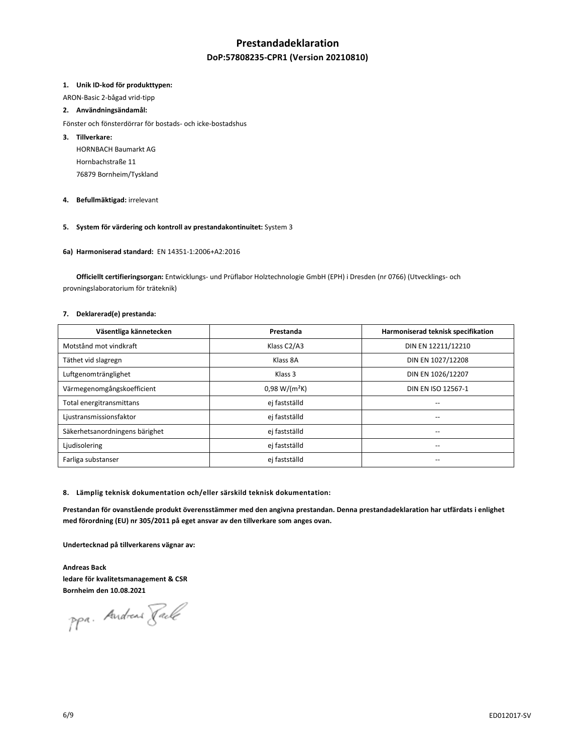# **Prestandadeklaration**

# **DoP:57808235-CPR1 (Version 20210810)**

#### **1. Unik ID-kod för produkttypen:**

ARON-Basic 2-bågad vrid-tipp

#### **2. Användningsändamål:**

- Fönster och fönsterdörrar för bostads- och icke-bostadshus
- **3. Tillverkare:** 
	- HORNBACH Baumarkt AG Hornbachstraße 11 76879 Bornheim/Tyskland
- **4. Befullmäktigad:** irrelevant
- **5. System för värdering och kontroll av prestandakontinuitet:** System 3
- **6a) Harmoniserad standard:** EN 14351-1:2006+A2:2016

 **Officiellt certifieringsorgan:** Entwicklungs- und Prüflabor Holztechnologie GmbH (EPH) i Dresden (nr 0766) (Utvecklings- och provningslaboratorium för träteknik)

### **7. Deklarerad(e) prestanda:**

| Väsentliga kännetecken         | Prestanda       | Harmoniserad teknisk specifikation |
|--------------------------------|-----------------|------------------------------------|
| Motstånd mot vindkraft         | Klass C2/A3     | DIN EN 12211/12210                 |
| Täthet vid slagregn            | Klass 8A        | DIN EN 1027/12208                  |
| Luftgenomtränglighet           | Klass 3         | DIN EN 1026/12207                  |
| Värmegenomgångskoefficient     | $0.98 W/(m^2K)$ | DIN EN ISO 12567-1                 |
| Total energitransmittans       | ej fastställd   |                                    |
| Ljustransmissionsfaktor        | ej fastställd   | --                                 |
| Säkerhetsanordningens bärighet | ej fastställd   | --                                 |
| Ljudisolering                  | ej fastställd   | --                                 |
| Farliga substanser             | ej fastställd   |                                    |

**8. Lämplig teknisk dokumentation och/eller särskild teknisk dokumentation:** 

**Prestandan för ovanstående produkt överensstämmer med den angivna prestandan. Denna prestandadeklaration har utfärdats i enlighet med förordning (EU) nr 305/2011 på eget ansvar av den tillverkare som anges ovan.** 

**Undertecknad på tillverkarens vägnar av:** 

**Andreas Back ledare för kvalitetsmanagement & CSR Bornheim den 10.08.2021** 

ppa. Andreas Jack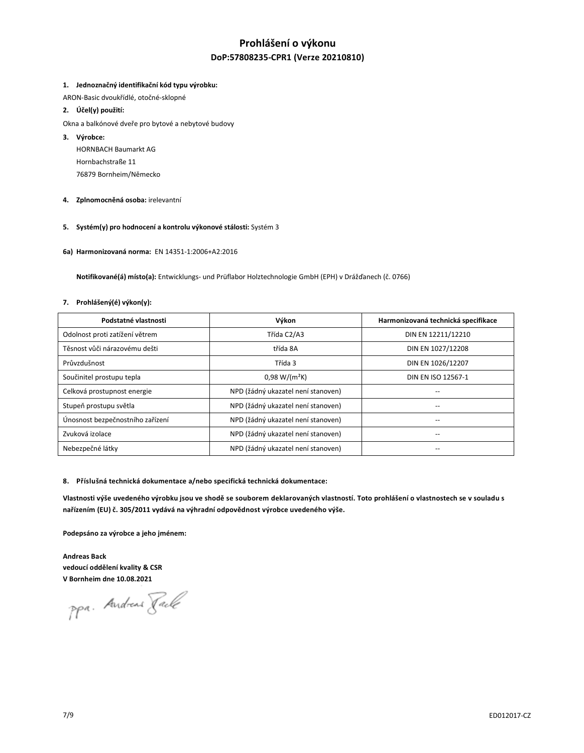# **Prohlášení o výkonu DoP:57808235-CPR1 (Verze 20210810)**

#### **1. Jednoznačný identifikační kód typu výrobku:**

ARON-Basic dvoukřídlé, otočné-sklopné

### **2. Účel(y) použití:**

- Okna a balkónové dveře pro bytové a nebytové budovy
- **3. Výrobce:**

HORNBACH Baumarkt AG Hornbachstraße 11 76879 Bornheim/Německo

- **4. Zplnomocněná osoba:** irelevantní
- **5. Systém(y) pro hodnocení a kontrolu výkonové stálosti:** Systém 3
- **6a) Harmonizovaná norma:** EN 14351-1:2006+A2:2016

 **Notifikované(á) místo(a):** Entwicklungs- und Prüflabor Holztechnologie GmbH (EPH) v Drážďanech (č. 0766)

#### **7. Prohlášený(é) výkon(y):**

| Podstatné vlastnosti             | Výkon                              | Harmonizovaná technická specifikace |
|----------------------------------|------------------------------------|-------------------------------------|
| Odolnost proti zatížení větrem   | Třída C2/A3                        | DIN EN 12211/12210                  |
| Těsnost vůči nárazovému dešti    | třída 8A                           | DIN EN 1027/12208                   |
| Průvzdušnost                     | Třída 3                            | DIN EN 1026/12207                   |
| Součinitel prostupu tepla        | $0.98 W/(m^2K)$                    | DIN EN ISO 12567-1                  |
| Celková prostupnost energie      | NPD (žádný ukazatel není stanoven) | --                                  |
| Stupeň prostupu světla           | NPD (žádný ukazatel není stanoven) |                                     |
| Únosnost bezpečnostního zařízení | NPD (žádný ukazatel není stanoven) | $-$                                 |
| Zvuková izolace                  | NPD (žádný ukazatel není stanoven) | $-$                                 |
| Nebezpečné látky                 | NPD (žádný ukazatel není stanoven) |                                     |

#### **8. Příslušná technická dokumentace a/nebo specifická technická dokumentace:**

Vlastnosti výše uvedeného výrobku jsou ve shodě se souborem deklarovaných vlastností. Toto prohlášení o vlastnostech se v souladu s **nařízením (EU) č. 305/2011 vydává na výhradní odpovědnost výrobce uvedeného výše.**

**Podepsáno za výrobce a jeho jménem:** 

**Andreas Back vedoucí oddělení kvality & CSR V Bornheim dne 10.08.2021** 

ppa. Andreas Fack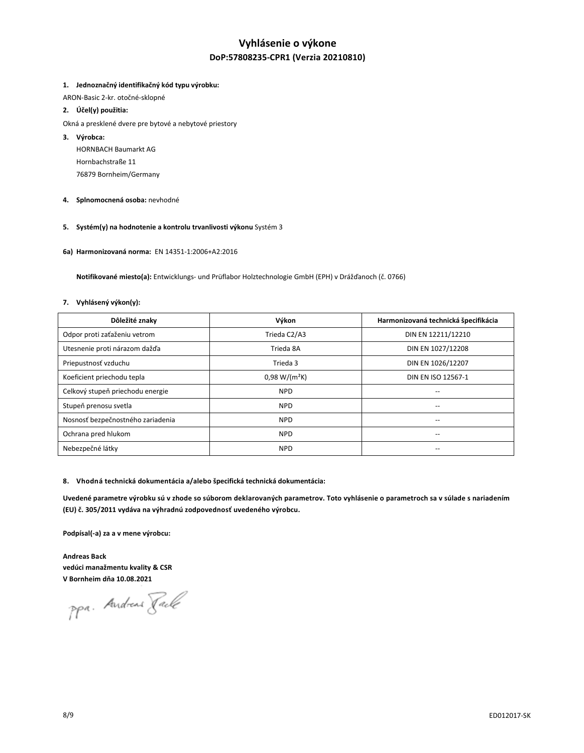# **Vyhlásenie o výkone DoP:57808235-CPR1 (Verzia 20210810)**

#### **1. Jednoznačný identifikačný kód typu výrobku:**

ARON-Basic 2-kr. otočné-sklopné

# **2. Účel(y) použitia:**

- Okná a presklené dvere pre bytové a nebytové priestory
- **3. Výrobca:** 
	- HORNBACH Baumarkt AG Hornbachstraße 11 76879 Bornheim/Germany
- **4. Splnomocnená osoba:** nevhodné
- **5. Systém(y) na hodnotenie a kontrolu trvanlivosti výkonu** Systém 3
- **6a) Harmonizovaná norma:** EN 14351-1:2006+A2:2016

 **Notifikované miesto(a):** Entwicklungs- und Prüflabor Holztechnologie GmbH (EPH) v Drážďanoch (č. 0766)

#### **7. Vyhlásený výkon(y):**

| Dôležité znaky                    | Výkon           | Harmonizovaná technická špecifikácia |
|-----------------------------------|-----------------|--------------------------------------|
| Odpor proti zaťaženiu vetrom      | Trieda C2/A3    | DIN EN 12211/12210                   |
| Utesnenie proti nárazom dažďa     | Trieda 8A       | DIN EN 1027/12208                    |
| Priepustnosť vzduchu              | Trieda 3        | DIN EN 1026/12207                    |
| Koeficient priechodu tepla        | $0.98 W/(m^2K)$ | DIN EN ISO 12567-1                   |
| Celkový stupeň priechodu energie  | <b>NPD</b>      | $-$                                  |
| Stupeň prenosu svetla             | <b>NPD</b>      |                                      |
| Nosnosť bezpečnostného zariadenia | <b>NPD</b>      | $-$                                  |
| Ochrana pred hlukom               | <b>NPD</b>      | $-$                                  |
| Nebezpečné látky                  | <b>NPD</b>      | --                                   |

#### **8. Vhodná technická dokumentácia a/alebo špecifická technická dokumentácia:**

**Uvedené parametre výrobku sú v zhode so súborom deklarovaných parametrov. Toto vyhlásenie o parametroch sa v súlade s nariadením (EU) č. 305/2011 vydáva na výhradnú zodpovednosť uvedeného výrobcu.**

**Podpísal(-a) za a v mene výrobcu:** 

**Andreas Back vedúci manažmentu kvality & CSR V Bornheim dňa 10.08.2021**

ppa. Andreas Fack